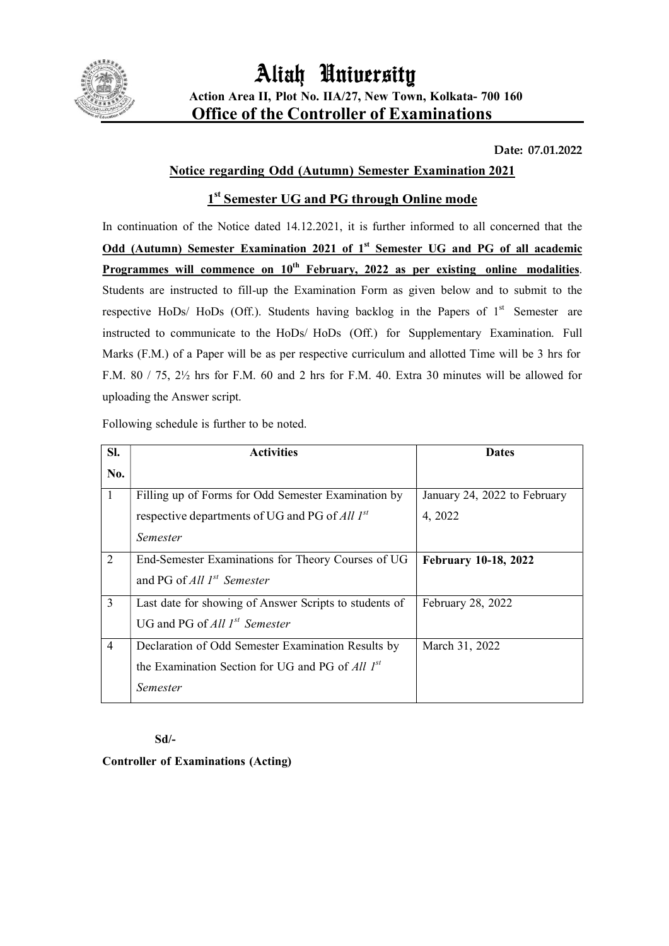

Date: 07.01.2022

## Notice regarding Odd (Autumn) Semester Examination 2021

## 1<sup>st</sup> Semester UG and PG through Online mode

In continuation of the Notice dated 14.12.2021, it is further informed to all concerned that the Odd (Autumn) Semester Examination 2021 of 1<sup>st</sup> Semester UG and PG of all academic **Programmes will commence on**  $10^{th}$  **February, 2022 as per existing online modalities.** Students are instructed to fill-up the Examination Form as given below and to submit to the respective HoDs/ HoDs (Off.). Students having backlog in the Papers of  $1<sup>st</sup>$  Semester are instructed to communicate to the HoDs/ HoDs (Off.) for Supplementary Examination. Full Marks (F.M.) of a Paper will be as per respective curriculum and allotted Time will be 3 hrs for F.M. 80 / 75, 2½ hrs for F.M. 60 and 2 hrs for F.M. 40. Extra 30 minutes will be allowed for uploading the Answer script.

Following schedule is further to be noted.

| SI.            | <b>Activities</b>                                      | <b>Dates</b>                 |
|----------------|--------------------------------------------------------|------------------------------|
| No.            |                                                        |                              |
|                | Filling up of Forms for Odd Semester Examination by    | January 24, 2022 to February |
|                | respective departments of UG and PG of All $I^{st}$    | 4, 2022                      |
|                | Semester                                               |                              |
| 2              | End-Semester Examinations for Theory Courses of UG     | <b>February 10-18, 2022</b>  |
|                | and PG of All $I^{st}$ Semester                        |                              |
| 3              | Last date for showing of Answer Scripts to students of | February 28, 2022            |
|                | UG and PG of All $I^{st}$ Semester                     |                              |
| $\overline{4}$ | Declaration of Odd Semester Examination Results by     | March 31, 2022               |
|                | the Examination Section for UG and PG of All 1st       |                              |
|                | <i>Semester</i>                                        |                              |

### Sd/-

Controller of Examinations (Acting)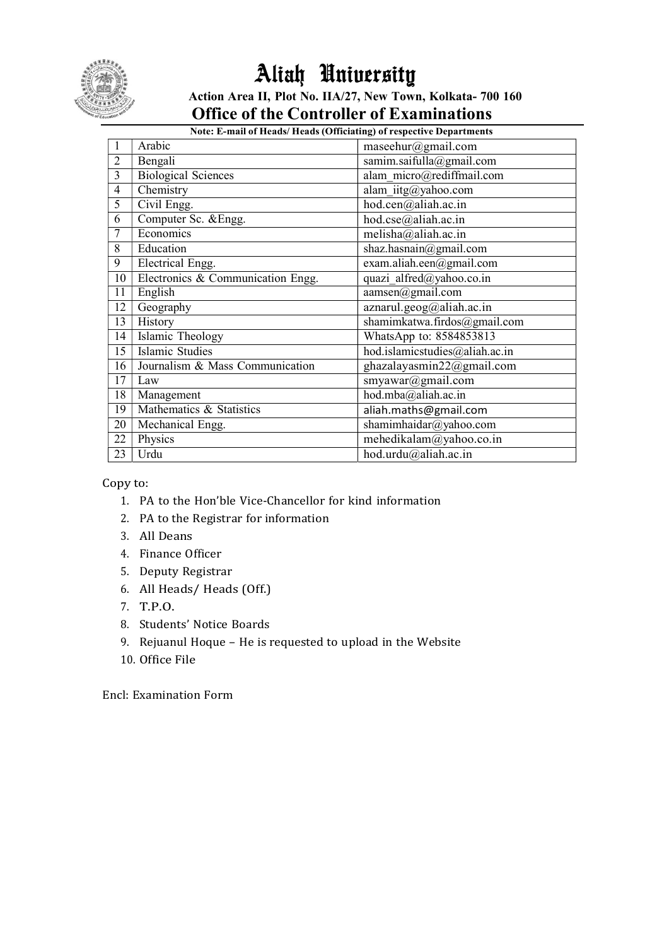

# Aliah University Action Area II, Plot No. IIA/27, New Town, Kolkata- 700 160 Office of the Controller of Examinations

## Note: E-mail of Heads/ Heads (Officiating) of respective Departments

|                | Arabic                            | maseehur@gmail.com             |
|----------------|-----------------------------------|--------------------------------|
| $\overline{c}$ | Bengali                           | samim.saifulla@gmail.com       |
| 3              | <b>Biological Sciences</b>        | alam micro@rediffmail.com      |
| $\overline{4}$ | Chemistry                         | alam iitg@yahoo.com            |
| 5              | Civil Engg.                       | hod.cen@aliah.ac.in            |
| 6              | Computer Sc. & Engg.              | hod.cse@aliah.ac.in            |
| 7              | Economics                         | melisha@aliah.ac.in            |
| 8              | Education                         | shaz.hasnain@gmail.com         |
| 9              | Electrical Engg.                  | exam.aliah.een@gmail.com       |
| 10             | Electronics & Communication Engg. | quazi alfred@yahoo.co.in       |
| 11             | English                           | aamsen@gmail.com               |
| 12             | Geography                         | aznarul.geog@aliah.ac.in       |
| 13             | History                           | shamimkatwa.firdos@gmail.com   |
| 14             | Islamic Theology                  | WhatsApp to: 8584853813        |
| 15             | Islamic Studies                   | hod.islamicstudies@aliah.ac.in |
| 16             | Journalism & Mass Communication   | ghazalayasmin22@gmail.com      |
| 17             | Law                               | smyawar@gmail.com              |
| 18             | Management                        | hod.mba@aliah.ac.in            |
| 19             | Mathematics & Statistics          | aliah.maths@gmail.com          |
| 20             | Mechanical Engg.                  | shamimhaidar@yahoo.com         |
| 22             | Physics                           | $m$ ehedikalam@yahoo.co.in     |
| 23             | Urdu                              | hod.urdu@aliah.ac.in           |

Copy to:

- 1. PA to the Hon'ble Vice-Chancellor for kind information
- 2. PA to the Registrar for information
- 3. All Deans
- 4. Finance Officer
- 5. Deputy Registrar
- 6. All Heads/ Heads (Off.)
- 7. T.P.O.
- 8. Students' Notice Boards
- 9. Rejuanul Hoque He is requested to upload in the Website
- 10. Office File

Encl: Examination Form